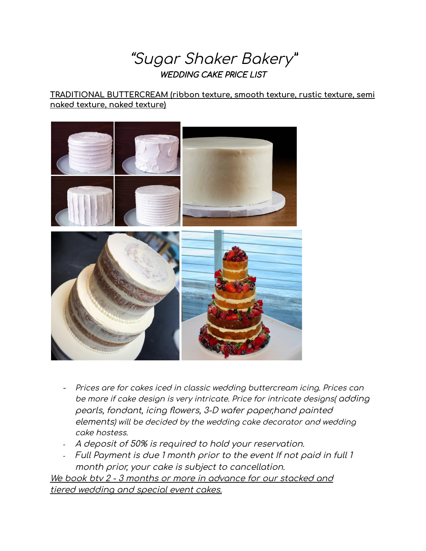"Sugar Shaker Bakery" WEDDING CAKE PRICE LIST

#### **TRADITIONAL BUTTERCREAM (ribbon texture, smooth texture, rustic texture, semi naked texture, naked texture)**



- Prices are for cakes iced in classic wedding buttercream icing. Prices can be more if cake design is very intricate. Price for intricate designs( adding pearls, fondant, icing flowers, 3-D wafer paper,hand painted elements) will be decided by the wedding cake decorator and wedding cake hostess.
- A deposit of 50% is required to hold your reservation.
- Full Payment is due 1 month prior to the event If not paid in full 1 month prior, your cake is subject to cancellation.

We book btv 2 - 3 months or more in advance for our stacked and tiered wedding and special event cakes.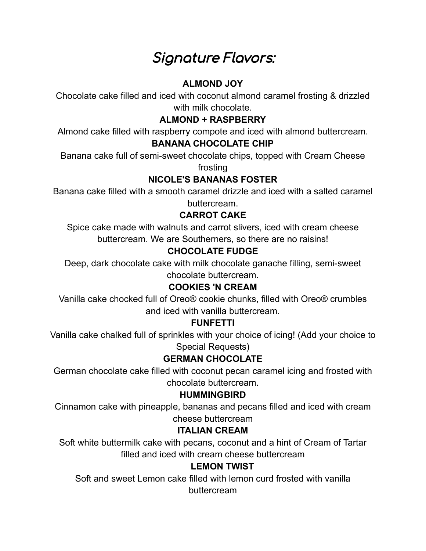# Signature Flavors:

# **ALMOND JOY**

Chocolate cake filled and iced with coconut almond caramel frosting & drizzled with milk chocolate.

# **ALMOND + RASPBERRY**

Almond cake filled with raspberry compote and iced with almond buttercream.

#### **BANANA CHOCOLATE CHIP**

Banana cake full of semi-sweet chocolate chips, topped with Cream Cheese frosting

# **NICOLE'S BANANAS FOSTER**

Banana cake filled with a smooth caramel drizzle and iced with a salted caramel buttercream.

# **CARROT CAKE**

Spice cake made with walnuts and carrot slivers, iced with cream cheese buttercream. We are Southerners, so there are no raisins!

# **CHOCOLATE FUDGE**

Deep, dark chocolate cake with milk chocolate ganache filling, semi-sweet chocolate buttercream.

# **COOKIES 'N CREAM**

Vanilla cake chocked full of Oreo® cookie chunks, filled with Oreo® crumbles and iced with vanilla buttercream.

# **FUNFETTI**

Vanilla cake chalked full of sprinkles with your choice of icing! (Add your choice to Special Requests)

# **GERMAN CHOCOLATE**

German chocolate cake filled with coconut pecan caramel icing and frosted with chocolate buttercream.

#### **HUMMINGBIRD**

Cinnamon cake with pineapple, bananas and pecans filled and iced with cream cheese buttercream

#### **ITALIAN CREAM**

Soft white buttermilk cake with pecans, coconut and a hint of Cream of Tartar filled and iced with cream cheese buttercream

#### **LEMON TWIST**

Soft and sweet Lemon cake filled with lemon curd frosted with vanilla buttercream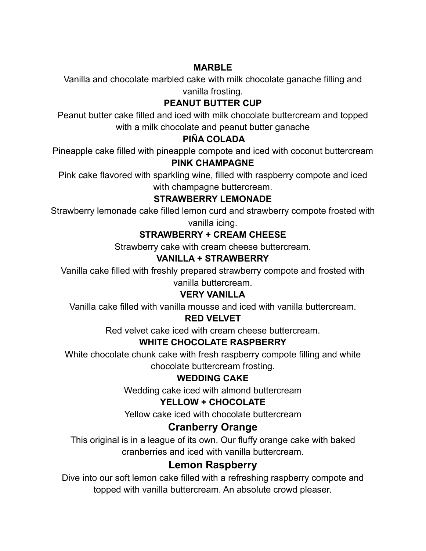#### **MARBLE**

Vanilla and chocolate marbled cake with milk chocolate ganache filling and vanilla frosting.

# **PEANUT BUTTER CUP**

Peanut butter cake filled and iced with milk chocolate buttercream and topped with a milk chocolate and peanut butter ganache

# **PIÑA COLADA**

Pineapple cake filled with pineapple compote and iced with coconut buttercream **PINK CHAMPAGNE**

Pink cake flavored with sparkling wine, filled with raspberry compote and iced with champagne buttercream.

# **STRAWBERRY LEMONADE**

Strawberry lemonade cake filled lemon curd and strawberry compote frosted with vanilla icing.

# **STRAWBERRY + CREAM CHEESE**

Strawberry cake with cream cheese buttercream.

# **VANILLA + STRAWBERRY**

Vanilla cake filled with freshly prepared strawberry compote and frosted with vanilla buttercream.

#### **VERY VANILLA**

Vanilla cake filled with vanilla mousse and iced with vanilla buttercream.

#### **RED VELVET**

Red velvet cake iced with cream cheese buttercream.

# **WHITE CHOCOLATE RASPBERRY**

White chocolate chunk cake with fresh raspberry compote filling and white chocolate buttercream frosting.

#### **WEDDING CAKE**

Wedding cake iced with almond buttercream

#### **YELLOW + CHOCOLATE**

Yellow cake iced with chocolate buttercream

# **Cranberry Orange**

This original is in a league of its own. Our fluffy orange cake with baked cranberries and iced with vanilla buttercream.

# **Lemon Raspberry**

Dive into our soft lemon cake filled with a refreshing raspberry compote and topped with vanilla buttercream. An absolute crowd pleaser.